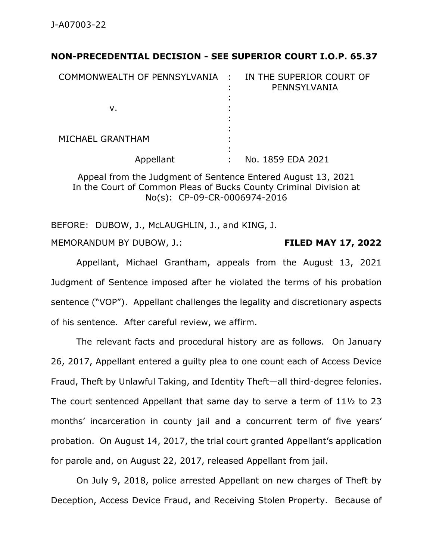## **NON-PRECEDENTIAL DECISION - SEE SUPERIOR COURT I.O.P. 65.37**

| COMMONWEALTH OF PENNSYLVANIA : |   | IN THE SUPERIOR COURT OF<br>PENNSYLVANIA |
|--------------------------------|---|------------------------------------------|
| ν.                             |   |                                          |
| MICHAEL GRANTHAM               |   |                                          |
| Appellant                      | ٠ | No. 1859 EDA 2021                        |

Appeal from the Judgment of Sentence Entered August 13, 2021 In the Court of Common Pleas of Bucks County Criminal Division at No(s): CP-09-CR-0006974-2016

BEFORE: DUBOW, J., McLAUGHLIN, J., and KING, J.

MEMORANDUM BY DUBOW, J.: **FILED MAY 17, 2022**

Appellant, Michael Grantham, appeals from the August 13, 2021 Judgment of Sentence imposed after he violated the terms of his probation sentence ("VOP"). Appellant challenges the legality and discretionary aspects of his sentence. After careful review, we affirm.

The relevant facts and procedural history are as follows. On January 26, 2017, Appellant entered a guilty plea to one count each of Access Device Fraud, Theft by Unlawful Taking, and Identity Theft—all third-degree felonies. The court sentenced Appellant that same day to serve a term of 11½ to 23 months' incarceration in county jail and a concurrent term of five years' probation. On August 14, 2017, the trial court granted Appellant's application for parole and, on August 22, 2017, released Appellant from jail.

On July 9, 2018, police arrested Appellant on new charges of Theft by Deception, Access Device Fraud, and Receiving Stolen Property. Because of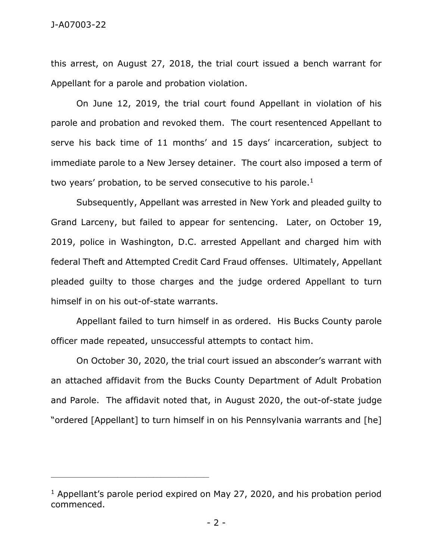## J-A07003-22

this arrest, on August 27, 2018, the trial court issued a bench warrant for Appellant for a parole and probation violation.

On June 12, 2019, the trial court found Appellant in violation of his parole and probation and revoked them. The court resentenced Appellant to serve his back time of 11 months' and 15 days' incarceration, subject to immediate parole to a New Jersey detainer. The court also imposed a term of two years' probation, to be served consecutive to his parole. $<sup>1</sup>$ </sup>

Subsequently, Appellant was arrested in New York and pleaded guilty to Grand Larceny, but failed to appear for sentencing. Later, on October 19, 2019, police in Washington, D.C. arrested Appellant and charged him with federal Theft and Attempted Credit Card Fraud offenses. Ultimately, Appellant pleaded guilty to those charges and the judge ordered Appellant to turn himself in on his out-of-state warrants.

Appellant failed to turn himself in as ordered. His Bucks County parole officer made repeated, unsuccessful attempts to contact him.

On October 30, 2020, the trial court issued an absconder's warrant with an attached affidavit from the Bucks County Department of Adult Probation and Parole. The affidavit noted that, in August 2020, the out-of-state judge "ordered [Appellant] to turn himself in on his Pennsylvania warrants and [he]

<sup>&</sup>lt;sup>1</sup> Appellant's parole period expired on May 27, 2020, and his probation period commenced.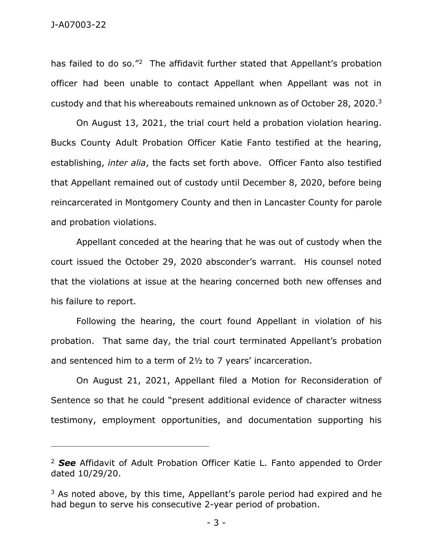has failed to do so."<sup>2</sup> The affidavit further stated that Appellant's probation officer had been unable to contact Appellant when Appellant was not in custody and that his whereabouts remained unknown as of October 28, 2020.<sup>3</sup>

On August 13, 2021, the trial court held a probation violation hearing. Bucks County Adult Probation Officer Katie Fanto testified at the hearing, establishing, *inter alia*, the facts set forth above. Officer Fanto also testified that Appellant remained out of custody until December 8, 2020, before being reincarcerated in Montgomery County and then in Lancaster County for parole and probation violations.

Appellant conceded at the hearing that he was out of custody when the court issued the October 29, 2020 absconder's warrant. His counsel noted that the violations at issue at the hearing concerned both new offenses and his failure to report.

Following the hearing, the court found Appellant in violation of his probation. That same day, the trial court terminated Appellant's probation and sentenced him to a term of 2½ to 7 years' incarceration.

On August 21, 2021, Appellant filed a Motion for Reconsideration of Sentence so that he could "present additional evidence of character witness testimony, employment opportunities, and documentation supporting his

<sup>2</sup> *See* Affidavit of Adult Probation Officer Katie L. Fanto appended to Order dated 10/29/20.

<sup>&</sup>lt;sup>3</sup> As noted above, by this time, Appellant's parole period had expired and he had begun to serve his consecutive 2-year period of probation.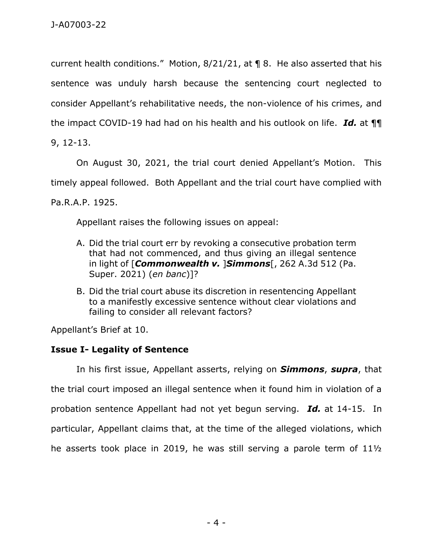current health conditions." Motion, 8/21/21, at ¶ 8. He also asserted that his sentence was unduly harsh because the sentencing court neglected to consider Appellant's rehabilitative needs, the non-violence of his crimes, and the impact COVID-19 had had on his health and his outlook on life. *Id.* at ¶¶ 9, 12-13.

On August 30, 2021, the trial court denied Appellant's Motion. This timely appeal followed. Both Appellant and the trial court have complied with Pa.R.A.P. 1925.

Appellant raises the following issues on appeal:

- A. Did the trial court err by revoking a consecutive probation term that had not commenced, and thus giving an illegal sentence in light of [*Commonwealth v.* ]*Simmons*[, 262 A.3d 512 (Pa. Super. 2021) (*en banc*)]?
- B. Did the trial court abuse its discretion in resentencing Appellant to a manifestly excessive sentence without clear violations and failing to consider all relevant factors?

Appellant's Brief at 10.

## **Issue I- Legality of Sentence**

In his first issue, Appellant asserts, relying on *Simmons*, *supra*, that the trial court imposed an illegal sentence when it found him in violation of a probation sentence Appellant had not yet begun serving. *Id.* at 14-15. In particular, Appellant claims that, at the time of the alleged violations, which he asserts took place in 2019, he was still serving a parole term of 11½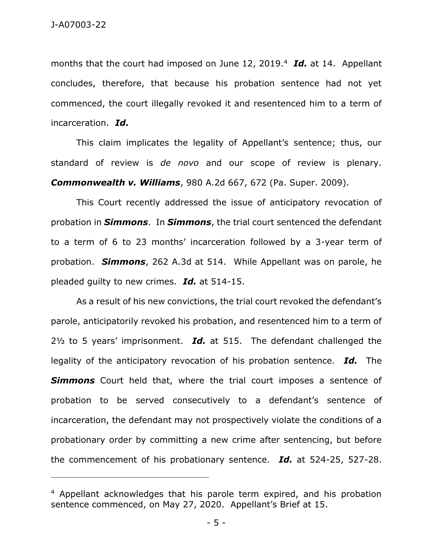months that the court had imposed on June 12, 2019.<sup>4</sup> *Id.* at 14. Appellant concludes, therefore, that because his probation sentence had not yet commenced, the court illegally revoked it and resentenced him to a term of incarceration. *Id.*

This claim implicates the legality of Appellant's sentence; thus, our standard of review is *de novo* and our scope of review is plenary. *Commonwealth v. Williams*, 980 A.2d 667, 672 (Pa. Super. 2009).

This Court recently addressed the issue of anticipatory revocation of probation in *Simmons*. In *Simmons*, the trial court sentenced the defendant to a term of 6 to 23 months' incarceration followed by a 3-year term of probation. *Simmons*, 262 A.3d at 514. While Appellant was on parole, he pleaded guilty to new crimes. *Id.* at 514-15.

As a result of his new convictions, the trial court revoked the defendant's parole, anticipatorily revoked his probation, and resentenced him to a term of 2½ to 5 years' imprisonment. *Id.* at 515. The defendant challenged the legality of the anticipatory revocation of his probation sentence. *Id.* The **Simmons** Court held that, where the trial court imposes a sentence of probation to be served consecutively to a defendant's sentence of incarceration, the defendant may not prospectively violate the conditions of a probationary order by committing a new crime after sentencing, but before the commencement of his probationary sentence. *Id.* at 524-25, 527-28.

<sup>4</sup> Appellant acknowledges that his parole term expired, and his probation sentence commenced, on May 27, 2020. Appellant's Brief at 15.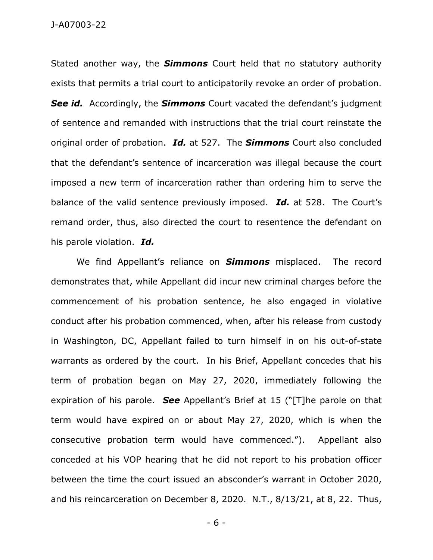Stated another way, the *Simmons* Court held that no statutory authority exists that permits a trial court to anticipatorily revoke an order of probation. **See id.** Accordingly, the **Simmons** Court vacated the defendant's judgment of sentence and remanded with instructions that the trial court reinstate the original order of probation. *Id.* at 527. The *Simmons* Court also concluded that the defendant's sentence of incarceration was illegal because the court imposed a new term of incarceration rather than ordering him to serve the balance of the valid sentence previously imposed. *Id.* at 528. The Court's remand order, thus, also directed the court to resentence the defendant on his parole violation. *Id.*

We find Appellant's reliance on *Simmons* misplaced. The record demonstrates that, while Appellant did incur new criminal charges before the commencement of his probation sentence, he also engaged in violative conduct after his probation commenced, when, after his release from custody in Washington, DC, Appellant failed to turn himself in on his out-of-state warrants as ordered by the court. In his Brief, Appellant concedes that his term of probation began on May 27, 2020, immediately following the expiration of his parole. *See* Appellant's Brief at 15 ("[T]he parole on that term would have expired on or about May 27, 2020, which is when the consecutive probation term would have commenced."). Appellant also conceded at his VOP hearing that he did not report to his probation officer between the time the court issued an absconder's warrant in October 2020, and his reincarceration on December 8, 2020. N.T., 8/13/21, at 8, 22. Thus,

- 6 -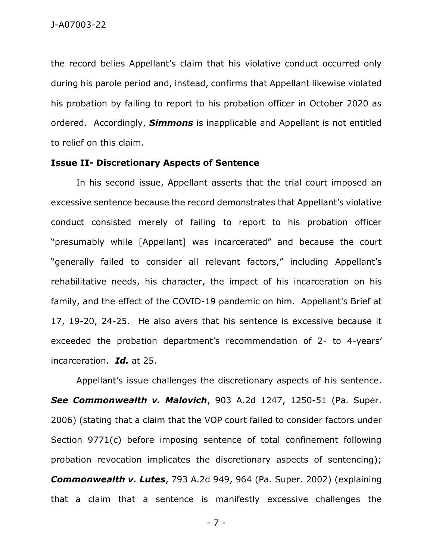the record belies Appellant's claim that his violative conduct occurred only during his parole period and, instead, confirms that Appellant likewise violated his probation by failing to report to his probation officer in October 2020 as ordered. Accordingly, *Simmons* is inapplicable and Appellant is not entitled to relief on this claim.

## **Issue II- Discretionary Aspects of Sentence**

In his second issue, Appellant asserts that the trial court imposed an excessive sentence because the record demonstrates that Appellant's violative conduct consisted merely of failing to report to his probation officer "presumably while [Appellant] was incarcerated" and because the court "generally failed to consider all relevant factors," including Appellant's rehabilitative needs, his character, the impact of his incarceration on his family, and the effect of the COVID-19 pandemic on him. Appellant's Brief at 17, 19-20, 24-25. He also avers that his sentence is excessive because it exceeded the probation department's recommendation of 2- to 4-years' incarceration. *Id.* at 25.

Appellant's issue challenges the discretionary aspects of his sentence. *See Commonwealth v. Malovich*, 903 A.2d 1247, 1250-51 (Pa. Super. 2006) (stating that a claim that the VOP court failed to consider factors under Section 9771(c) before imposing sentence of total confinement following probation revocation implicates the discretionary aspects of sentencing); *Commonwealth v. Lutes*, 793 A.2d 949, 964 (Pa. Super. 2002) (explaining that a claim that a sentence is manifestly excessive challenges the

- 7 -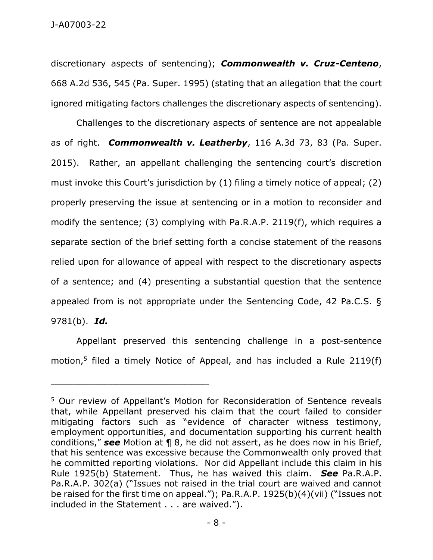discretionary aspects of sentencing); *Commonwealth v. Cruz-Centeno*, 668 A.2d 536, 545 (Pa. Super. 1995) (stating that an allegation that the court ignored mitigating factors challenges the discretionary aspects of sentencing).

Challenges to the discretionary aspects of sentence are not appealable as of right. *Commonwealth v. Leatherby*, 116 A.3d 73, 83 (Pa. Super. 2015). Rather, an appellant challenging the sentencing court's discretion must invoke this Court's jurisdiction by (1) filing a timely notice of appeal; (2) properly preserving the issue at sentencing or in a motion to reconsider and modify the sentence; (3) complying with Pa.R.A.P. 2119(f), which requires a separate section of the brief setting forth a concise statement of the reasons relied upon for allowance of appeal with respect to the discretionary aspects of a sentence; and (4) presenting a substantial question that the sentence appealed from is not appropriate under the Sentencing Code, 42 Pa.C.S. § 9781(b). *Id.*

Appellant preserved this sentencing challenge in a post-sentence motion,<sup>5</sup> filed a timely Notice of Appeal, and has included a Rule 2119(f)

<sup>5</sup> Our review of Appellant's Motion for Reconsideration of Sentence reveals that, while Appellant preserved his claim that the court failed to consider mitigating factors such as "evidence of character witness testimony, employment opportunities, and documentation supporting his current health conditions," *see* Motion at ¶ 8, he did not assert, as he does now in his Brief, that his sentence was excessive because the Commonwealth only proved that he committed reporting violations. Nor did Appellant include this claim in his Rule 1925(b) Statement. Thus, he has waived this claim. *See* Pa.R.A.P. Pa.R.A.P. 302(a) ("Issues not raised in the trial court are waived and cannot be raised for the first time on appeal."); Pa.R.A.P. 1925(b)(4)(vii) ("Issues not included in the Statement . . . are waived.").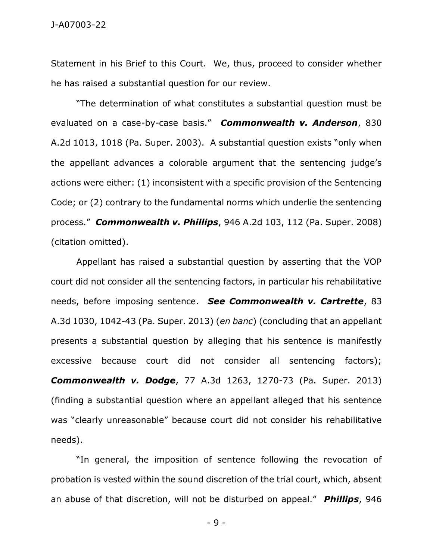Statement in his Brief to this Court. We, thus, proceed to consider whether he has raised a substantial question for our review.

"The determination of what constitutes a substantial question must be evaluated on a case-by-case basis." *Commonwealth v. Anderson*, 830 A.2d 1013, 1018 (Pa. Super. 2003). A substantial question exists "only when the appellant advances a colorable argument that the sentencing judge's actions were either: (1) inconsistent with a specific provision of the Sentencing Code; or (2) contrary to the fundamental norms which underlie the sentencing process." *Commonwealth v. Phillips*, 946 A.2d 103, 112 (Pa. Super. 2008) (citation omitted).

Appellant has raised a substantial question by asserting that the VOP court did not consider all the sentencing factors, in particular his rehabilitative needs, before imposing sentence. *See Commonwealth v. Cartrette*, 83 A.3d 1030, 1042-43 (Pa. Super. 2013) (*en banc*) (concluding that an appellant presents a substantial question by alleging that his sentence is manifestly excessive because court did not consider all sentencing factors); *Commonwealth v. Dodge*, 77 A.3d 1263, 1270-73 (Pa. Super. 2013) (finding a substantial question where an appellant alleged that his sentence was "clearly unreasonable" because court did not consider his rehabilitative needs).

"In general, the imposition of sentence following the revocation of probation is vested within the sound discretion of the trial court, which, absent an abuse of that discretion, will not be disturbed on appeal." *Phillips*, 946

- 9 -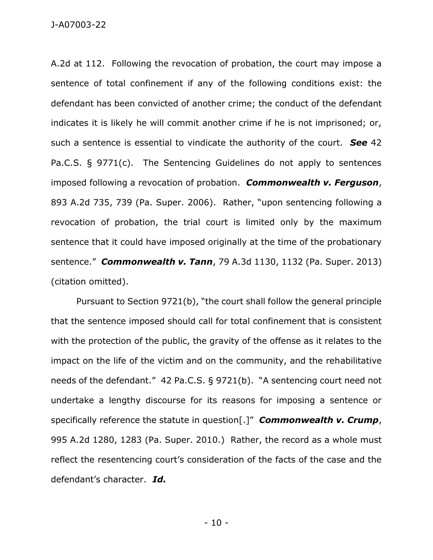A.2d at 112. Following the revocation of probation, the court may impose a sentence of total confinement if any of the following conditions exist: the defendant has been convicted of another crime; the conduct of the defendant indicates it is likely he will commit another crime if he is not imprisoned; or, such a sentence is essential to vindicate the authority of the court. *See* 42 Pa.C.S. § 9771(c). The Sentencing Guidelines do not apply to sentences imposed following a revocation of probation. *Commonwealth v. Ferguson*, 893 A.2d 735, 739 (Pa. Super. 2006). Rather, "upon sentencing following a revocation of probation, the trial court is limited only by the maximum sentence that it could have imposed originally at the time of the probationary sentence." *Commonwealth v. Tann*, 79 A.3d 1130, 1132 (Pa. Super. 2013) (citation omitted).

Pursuant to Section 9721(b), "the court shall follow the general principle that the sentence imposed should call for total confinement that is consistent with the protection of the public, the gravity of the offense as it relates to the impact on the life of the victim and on the community, and the rehabilitative needs of the defendant." 42 Pa.C.S. § 9721(b). "A sentencing court need not undertake a lengthy discourse for its reasons for imposing a sentence or specifically reference the statute in question[.]" *Commonwealth v. Crump*, 995 A.2d 1280, 1283 (Pa. Super. 2010.) Rather, the record as a whole must reflect the resentencing court's consideration of the facts of the case and the defendant's character. *Id.*

- 10 -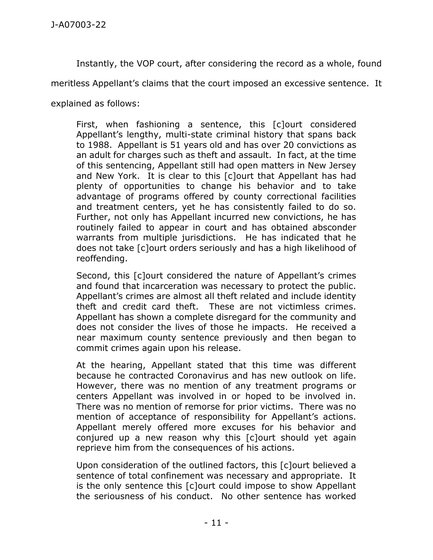Instantly, the VOP court, after considering the record as a whole, found

meritless Appellant's claims that the court imposed an excessive sentence. It

explained as follows:

First, when fashioning a sentence, this [c]ourt considered Appellant's lengthy, multi-state criminal history that spans back to 1988. Appellant is 51 years old and has over 20 convictions as an adult for charges such as theft and assault. In fact, at the time of this sentencing, Appellant still had open matters in New Jersey and New York. It is clear to this [c]ourt that Appellant has had plenty of opportunities to change his behavior and to take advantage of programs offered by county correctional facilities and treatment centers, yet he has consistently failed to do so. Further, not only has Appellant incurred new convictions, he has routinely failed to appear in court and has obtained absconder warrants from multiple jurisdictions. He has indicated that he does not take [c]ourt orders seriously and has a high likelihood of reoffending.

Second, this [c]ourt considered the nature of Appellant's crimes and found that incarceration was necessary to protect the public. Appellant's crimes are almost all theft related and include identity theft and credit card theft. These are not victimless crimes. Appellant has shown a complete disregard for the community and does not consider the lives of those he impacts. He received a near maximum county sentence previously and then began to commit crimes again upon his release.

At the hearing, Appellant stated that this time was different because he contracted Coronavirus and has new outlook on life. However, there was no mention of any treatment programs or centers Appellant was involved in or hoped to be involved in. There was no mention of remorse for prior victims. There was no mention of acceptance of responsibility for Appellant's actions. Appellant merely offered more excuses for his behavior and conjured up a new reason why this [c]ourt should yet again reprieve him from the consequences of his actions.

Upon consideration of the outlined factors, this [c]ourt believed a sentence of total confinement was necessary and appropriate. It is the only sentence this [c]ourt could impose to show Appellant the seriousness of his conduct. No other sentence has worked